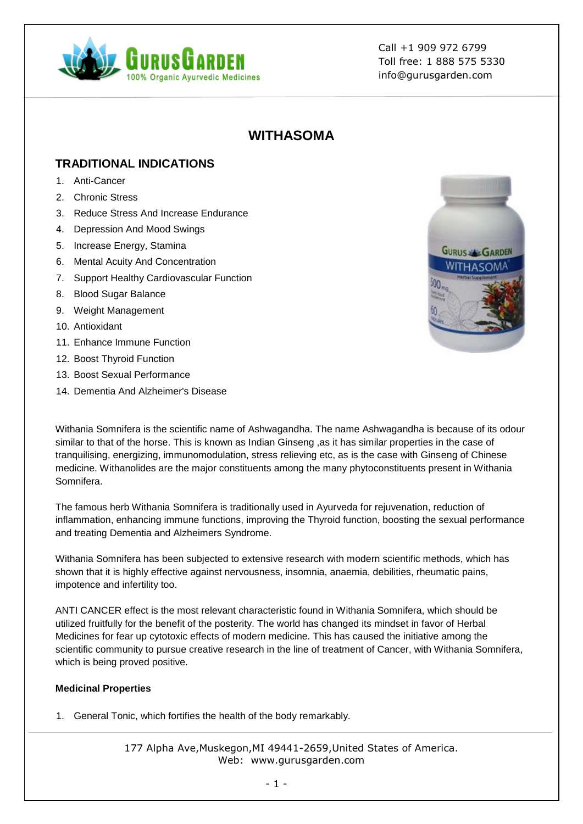

# **WITHASOMA**

### **TRADITIONAL INDICATIONS**

- 1. Anti-Cancer
- 2. Chronic Stress
- 3. Reduce Stress And Increase Endurance
- 4. Depression And Mood Swings
- 5. Increase Energy, Stamina
- 6. Mental Acuity And Concentration
- 7. Support Healthy Cardiovascular Function
- 8. Blood Sugar Balance
- 9. Weight Management
- 10. Antioxidant
- 11. Enhance Immune Function
- 12. Boost Thyroid Function
- 13. Boost Sexual Performance
- 14. Dementia And Alzheimer's Disease



Withania Somnifera is the scientific name of Ashwagandha. The name Ashwagandha is because of its odour similar to that of the horse. This is known as Indian Ginseng ,as it has similar properties in the case of tranquilising, energizing, immunomodulation, stress relieving etc, as is the case with Ginseng of Chinese medicine. Withanolides are the major constituents among the many phytoconstituents present in Withania Somnifera.

The famous herb Withania Somnifera is traditionally used in Ayurveda for rejuvenation, reduction of inflammation, enhancing immune functions, improving the Thyroid function, boosting the sexual performance and treating Dementia and Alzheimers Syndrome.

Withania Somnifera has been subjected to extensive research with modern scientific methods, which has shown that it is highly effective against nervousness, insomnia, anaemia, debilities, rheumatic pains, impotence and infertility too.

ANTI CANCER effect is the most relevant characteristic found in Withania Somnifera, which should be utilized fruitfully for the benefit of the posterity. The world has changed its mindset in favor of Herbal Medicines for fear up cytotoxic effects of modern medicine. This has caused the initiative among the scientific community to pursue creative research in the line of treatment of Cancer, with Withania Somnifera, which is being proved positive.

#### **Medicinal Properties**

1. General Tonic, which fortifies the health of the body remarkably.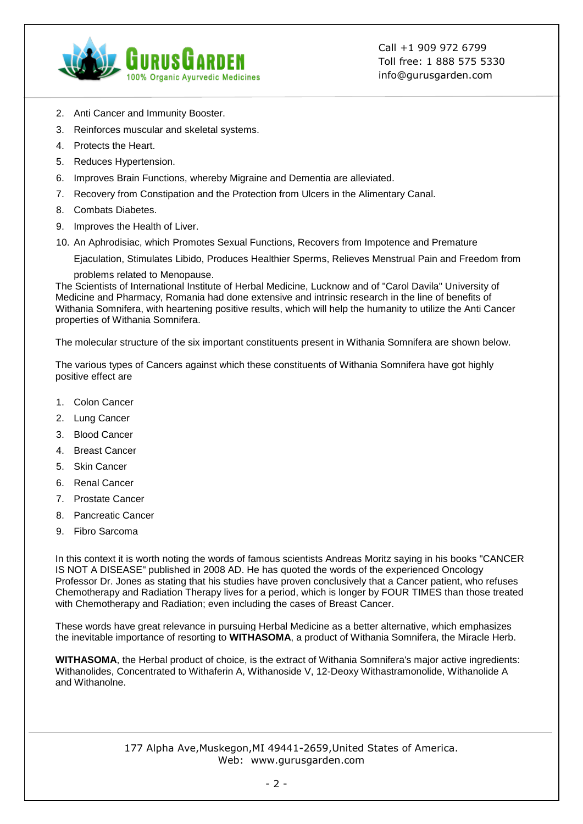

- 2. Anti Cancer and Immunity Booster.
- 3. Reinforces muscular and skeletal systems.
- 4. Protects the Heart.
- 5. Reduces Hypertension.
- 6. Improves Brain Functions, whereby Migraine and Dementia are alleviated.
- 7. Recovery from Constipation and the Protection from Ulcers in the Alimentary Canal.
- 8. Combats Diabetes.
- 9. Improves the Health of Liver.
- 10. An Aphrodisiac, which Promotes Sexual Functions, Recovers from Impotence and Premature

Ejaculation, Stimulates Libido, Produces Healthier Sperms, Relieves Menstrual Pain and Freedom from

problems related to Menopause.

The Scientists of International Institute of Herbal Medicine, Lucknow and of "Carol Davila" University of Medicine and Pharmacy, Romania had done extensive and intrinsic research in the line of benefits of Withania Somnifera, with heartening positive results, which will help the humanity to utilize the Anti Cancer properties of Withania Somnifera.

The molecular structure of the six important constituents present in Withania Somnifera are shown below.

The various types of Cancers against which these constituents of Withania Somnifera have got highly positive effect are

- 1. Colon Cancer
- 2. Lung Cancer
- 3. Blood Cancer
- 4. Breast Cancer
- 5. Skin Cancer
- 6. Renal Cancer
- 7. Prostate Cancer
- 8. Pancreatic Cancer
- 9. Fibro Sarcoma

In this context it is worth noting the words of famous scientists Andreas Moritz saying in his books "CANCER IS NOT A DISEASE" published in 2008 AD. He has quoted the words of the experienced Oncology Professor Dr. Jones as stating that his studies have proven conclusively that a Cancer patient, who refuses Chemotherapy and Radiation Therapy lives for a period, which is longer by FOUR TIMES than those treated with Chemotherapy and Radiation; even including the cases of Breast Cancer.

These words have great relevance in pursuing Herbal Medicine as a better alternative, which emphasizes the inevitable importance of resorting to **WITHASOMA**, a product of Withania Somnifera, the Miracle Herb.

**WITHASOMA**, the Herbal product of choice, is the extract of Withania Somnifera's major active ingredients: Withanolides, Concentrated to Withaferin A, Withanoside V, 12-Deoxy Withastramonolide, Withanolide A and Withanolne.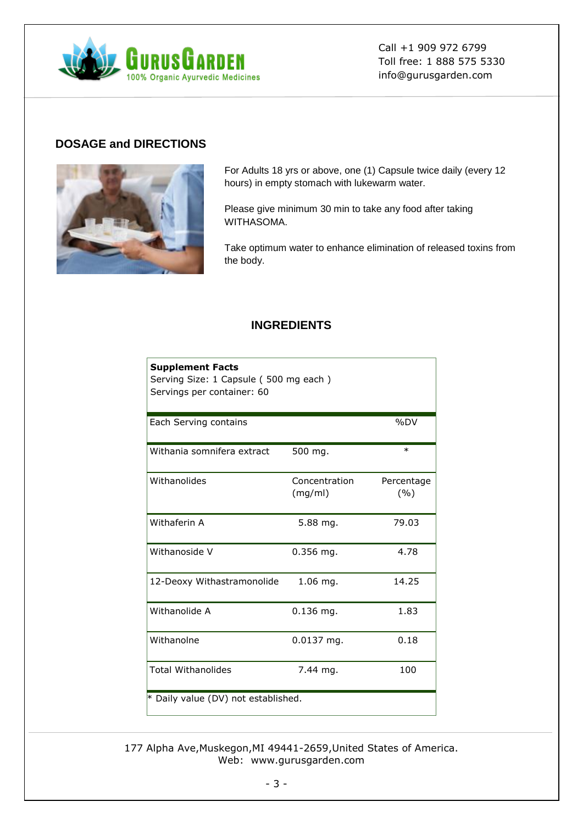

### **DOSAGE and DIRECTIONS**



For Adults 18 yrs or above, one (1) Capsule twice daily (every 12 hours) in empty stomach with lukewarm water.

Please give minimum 30 min to take any food after taking WITHASOMA.

Take optimum water to enhance elimination of released toxins from the body.

#### **INGREDIENTS**

| <b>Supplement Facts</b><br>Serving Size: 1 Capsule (500 mg each)<br>Servings per container: 60 |                          |                   |
|------------------------------------------------------------------------------------------------|--------------------------|-------------------|
| Each Serving contains                                                                          |                          | %DV               |
| Withania somnifera extract                                                                     | 500 mg.                  | $\ast$            |
| Withanolides                                                                                   | Concentration<br>(mg/ml) | Percentage<br>(%) |
| Withaferin A                                                                                   | $5.88$ mg.               | 79.03             |
| Withanoside V                                                                                  | $0.356$ mg.              | 4.78              |
| 12-Deoxy Withastramonolide                                                                     | $1.06$ mg.               | 14.25             |
| Withanolide A                                                                                  | $0.136$ mg.              | 1.83              |
| Withanolne                                                                                     | $0.0137$ mg.             | 0.18              |
| <b>Total Withanolides</b>                                                                      | 7.44 mg.                 | 100               |
| * Daily value (DV) not established.                                                            |                          |                   |